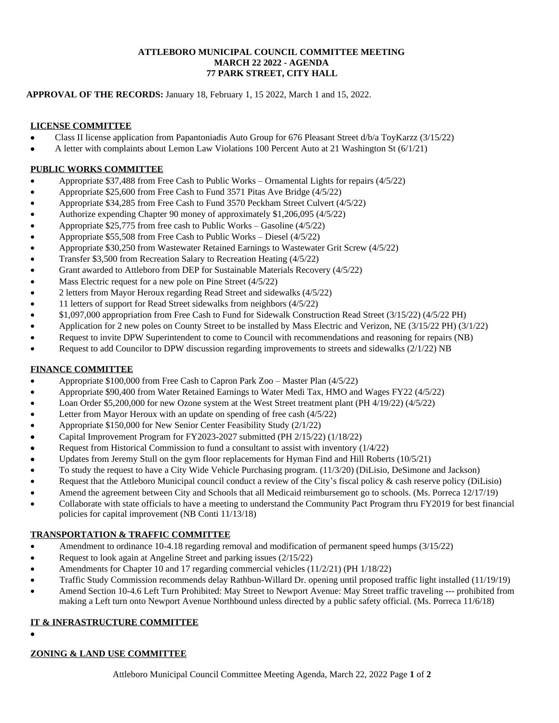#### **ATTLEBORO MUNICIPAL COUNCIL COMMITTEE MEETING MARCH 22 2022 - AGENDA 77 PARK STREET, CITY HALL**

#### **APPROVAL OF THE RECORDS:** January 18, February 1, 15 2022, March 1 and 15, 2022.

#### **LICENSE COMMITTEE**

- Class II license application from Papantoniadis Auto Group for 676 Pleasant Street d/b/a ToyKarzz (3/15/22)
- A letter with complaints about Lemon Law Violations 100 Percent Auto at 21 Washington St (6/1/21)

#### **PUBLIC WORKS COMMITTEE**

- Appropriate \$37,488 from Free Cash to Public Works Ornamental Lights for repairs (4/5/22)
- Appropriate \$25,600 from Free Cash to Fund 3571 Pitas Ave Bridge (4/5/22)
- Appropriate \$34,285 from Free Cash to Fund 3570 Peckham Street Culvert (4/5/22)
- Authorize expending Chapter 90 money of approximately \$1,206,095 (4/5/22)
- Appropriate \$25,775 from free cash to Public Works Gasoline (4/5/22)
- Appropriate \$55,508 from Free Cash to Public Works Diesel (4/5/22)
- Appropriate \$30,250 from Wastewater Retained Earnings to Wastewater Grit Screw (4/5/22)
- Transfer \$3,500 from Recreation Salary to Recreation Heating (4/5/22)
- Grant awarded to Attleboro from DEP for Sustainable Materials Recovery (4/5/22)
- Mass Electric request for a new pole on Pine Street (4/5/22)
- 2 letters from Mayor Heroux regarding Read Street and sidewalks (4/5/22)
- 11 letters of support for Read Street sidewalks from neighbors (4/5/22)
- \$1,097,000 appropriation from Free Cash to Fund for Sidewalk Construction Read Street (3/15/22) (4/5/22 PH)
- Application for 2 new poles on County Street to be installed by Mass Electric and Verizon, NE (3/15/22 PH) (3/1/22)
- Request to invite DPW Superintendent to come to Council with recommendations and reasoning for repairs (NB)
- Request to add Councilor to DPW discussion regarding improvements to streets and sidewalks (2/1/22) NB

## **FINANCE COMMITTEE**

- Appropriate \$100,000 from Free Cash to Capron Park Zoo Master Plan (4/5/22)
- Appropriate \$90,400 from Water Retained Earnings to Water Medi Tax, HMO and Wages FY22 (4/5/22)
- Loan Order \$5,200,000 for new Ozone system at the West Street treatment plant (PH 4/19/22) (4/5/22)
- Letter from Mayor Heroux with an update on spending of free cash (4/5/22)
- Appropriate \$150,000 for New Senior Center Feasibility Study (2/1/22)
- Capital Improvement Program for FY2023-2027 submitted (PH 2/15/22) (1/18/22)
- Request from Historical Commission to fund a consultant to assist with inventory (1/4/22)
- Updates from Jeremy Stull on the gym floor replacements for Hyman Find and Hill Roberts (10/5/21)
- To study the request to have a City Wide Vehicle Purchasing program. (11/3/20) (DiLisio, DeSimone and Jackson)
- Request that the Attleboro Municipal council conduct a review of the City's fiscal policy & cash reserve policy (DiLisio)
- Amend the agreement between City and Schools that all Medicaid reimbursement go to schools. (Ms. Porreca 12/17/19)
- Collaborate with state officials to have a meeting to understand the Community Pact Program thru FY2019 for best financial policies for capital improvement (NB Conti 11/13/18)

## **TRANSPORTATION & TRAFFIC COMMITTEE**

- Amendment to ordinance 10-4.18 regarding removal and modification of permanent speed humps (3/15/22)
- Request to look again at Angeline Street and parking issues (2/15/22)
- Amendments for Chapter 10 and 17 regarding commercial vehicles (11/2/21) (PH 1/18/22)
- Traffic Study Commission recommends delay Rathbun-Willard Dr. opening until proposed traffic light installed (11/19/19)
- Amend Section 10-4.6 Left Turn Prohibited: May Street to Newport Avenue: May Street traffic traveling --- prohibited from making a Left turn onto Newport Avenue Northbound unless directed by a public safety official. (Ms. Porreca 11/6/18)

## **IT & INFRASTRUCTURE COMMITTEE**

 $\bullet$ 

## **ZONING & LAND USE COMMITTEE**